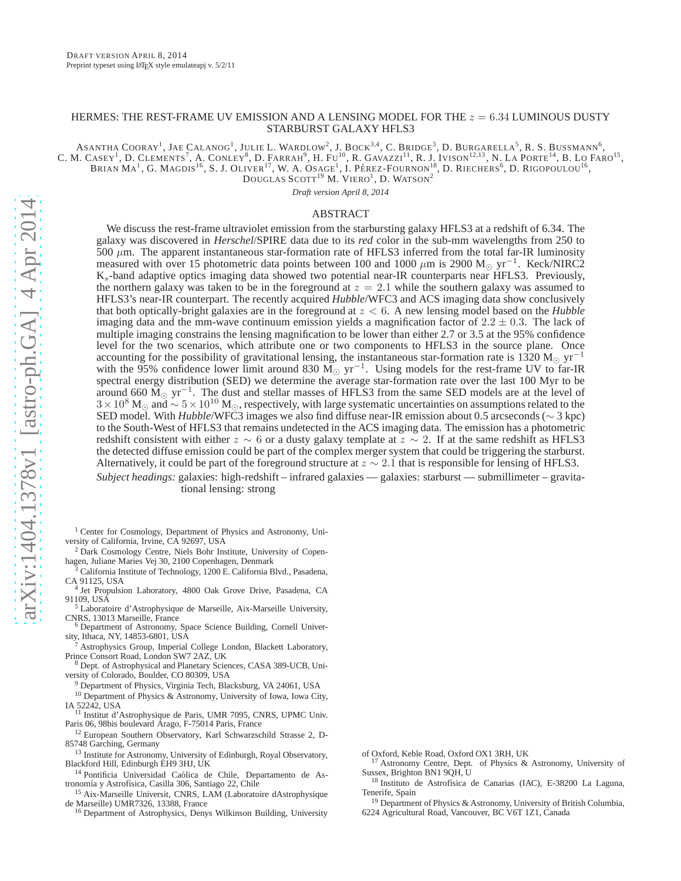# HERMES: THE REST-FRAME UV EMISSION AND A LENSING MODEL FOR THE  $z = 6.34$  LUMINOUS DUSTY STARBURST GALAXY HFLS3

ASANTHA  $CoORAY^1$ , JAE  $CALANOG^1$ , JULIE L. WARDLOW<sup>2</sup>, J. BOCK<sup>3,4</sup>, C. BRIDGE<sup>3</sup>, D. BURGARELLA<sup>5</sup>, R. S. BUSSMANN<sup>6</sup>, C. M. CASEY<sup>1</sup>, D. CLEMENTS<sup>7</sup>, A. CONLEY<sup>8</sup>, D. FARRAH<sup>9</sup>, H. Fu<sup>10</sup>, R. GAVAZZI<sup>11</sup>, R. J. IVISON<sup>12,13</sup>, N. LA PORTE<sup>14</sup>, B. LO FARO<sup>15</sup>, BRIAN  $\rm{MA}^1$ , G. Magdis<sup>16</sup>, S. J. Oliver<sup>17</sup>, W. A. Osage<sup>1</sup>, I. Pérez-Fournon<sup>18</sup>, D. Riechers<sup>6</sup>, D. Rigopoulou<sup>16</sup>,

 $\mathrm{D}{\text{ouglas }\mathrm{SCOTT}}^{19}$  M.  $\mathrm{VIERO}^{1},$  D. Watson $^{2}$ 

*Draft version April 8, 2014*

#### ABSTRACT

We discuss the rest-frame ultraviolet emission from the starbursting galaxy HFLS3 at a redshift of 6.34. The galaxy was discovered in *Herschel*/SPIRE data due to its *red* color in the sub-mm wavelengths from 250 to 500  $\mu$ m. The apparent instantaneous star-formation rate of HFLS3 inferred from the total far-IR luminosity measured with over 15 photometric data points between 100 and 1000  $\mu$ m is 2900 M<sub>☉</sub> yr<sup>-1</sup>. Keck/NIRC2 Ks-band adaptive optics imaging data showed two potential near-IR counterparts near HFLS3. Previously, the northern galaxy was taken to be in the foreground at  $z = 2.1$  while the southern galaxy was assumed to HFLS3's near-IR counterpart. The recently acquired *Hubble*/WFC3 and ACS imaging data show conclusively that both optically-bright galaxies are in the foreground at z < 6. A new lensing model based on the *Hubble* imaging data and the mm-wave continuum emission yields a magnification factor of  $2.2 \pm 0.3$ . The lack of multiple imaging constrains the lensing magnification to be lower than either 2.7 or 3.5 at the 95% confidence level for the two scenarios, which attribute one or two components to HFLS3 in the source plane. Once accounting for the possibility of gravitational lensing, the instantaneous star-formation rate is 1320 M<sub>☉</sub> yr<sup>-1</sup> with the 95% confidence lower limit around 830  $\widetilde{M_{\odot}}$  yr<sup>-1</sup>. Using models for the rest-frame UV to far-IR spectral energy distribution (SED) we determine the average star-formation rate over the last 100 Myr to be around 660  $\widetilde{M}_{\odot}$  yr<sup>-1</sup>. The dust and stellar masses of HFLS3 from the same SED models are at the level of  $3\times10^8$  M<sub>☉</sub> and  $\sim 5\times10^{10}$  M<sub>☉</sub>, respectively, with large systematic uncertainties on assumptions related to the SED model. With *Hubble*/WFC3 images we also find diffuse near-IR emission about 0.5 arcseconds (∼ 3 kpc) to the South-West of HFLS3 that remains undetected in the ACS imaging data. The emission has a photometric redshift consistent with either  $z \sim 6$  or a dusty galaxy template at  $z \sim 2$ . If at the same redshift as HFLS3 the detected diffuse emission could be part of the complex merger system that could be triggering the starburst. Alternatively, it could be part of the foreground structure at  $z \sim 2.1$  that is responsible for lensing of HFLS3.

*Subject headings:* galaxies: high-redshift – infrared galaxies — galaxies: starburst — submillimeter – gravitational lensing: strong

- <sup>1</sup> Center for Cosmology, Department of Physics and Astronomy, University of California, Irvine, CA 92697, USA
- <sup>2</sup> Dark Cosmology Centre, Niels Bohr Institute, University of Copenhagen, Juliane Maries Vej 30, 2100 Copenhagen, Denmark
- <sup>3</sup> California Institute of Technology, 1200 E. California Blvd., Pasadena, CA 91125, USA 4 Jet Propulsion Laboratory, 4800 Oak Grove Drive, Pasadena, CA

91109, USA

- <sup>5</sup> Laboratoire d'Astrophysique de Marseille, Aix-Marseille University, CNRS, 13013 Marseille, France
- <sup>6</sup> Department of Astronomy, Space Science Building, Cornell University, Ithaca, NY, 14853-6801, USA
- <sup>7</sup> Astrophysics Group, Imperial College London, Blackett Laboratory, Prince Consort Road, London SW7 2AZ, UK
- <sup>8</sup> Dept. of Astrophysical and Planetary Sciences, CASA 389-UCB, University of Colorado, Boulder, CO 80309, USA
	- <sup>9</sup> Department of Physics, Virginia Tech, Blacksburg, VA 24061, USA
- <sup>10</sup> Department of Physics & Astronomy, University of Iowa, Iowa City, IA 52242, USA
- <sup>11</sup> Institut d'Astrophysique de Paris, UMR 7095, CNRS, UPMC Univ. Paris 06, 98bis boulevard Arago, F-75014 Paris, France
- <sup>12</sup> European Southern Observatory, Karl Schwarzschild Strasse 2, D-85748 Garching, Germany
- <sup>13</sup> Institute for Astronomy, University of Edinburgh, Royal Observatory, Blackford Hill, Edinburgh EH9 3HJ, UK
- <sup>14</sup> Pontificia Universidad Caólica de Chile, Departamento de Astronomía y Astrofísica, Casilla 306, Santiago 22, Chile
- <sup>15</sup> Aix-Marseille Universit, CNRS, LAM (Laboratoire dAstrophysique de Marseille) UMR7326, 13388, France
- <sup>16</sup> Department of Astrophysics, Denys Wilkinson Building, University

of Oxford, Keble Road, Oxford OX1 3RH, UK

- <sup>17</sup> Astronomy Centre, Dept. of Physics & Astronomy, University of Sussex, Brighton BN1 9QH, U
- <sup>18</sup> Instituto de Astrofísica de Canarias (IAC), E-38200 La Laguna, Tenerife, Spain
- <sup>19</sup> Department of Physics & Astronomy, University of British Columbia, 6224 Agricultural Road, Vancouver, BC V6T 1Z1, Canada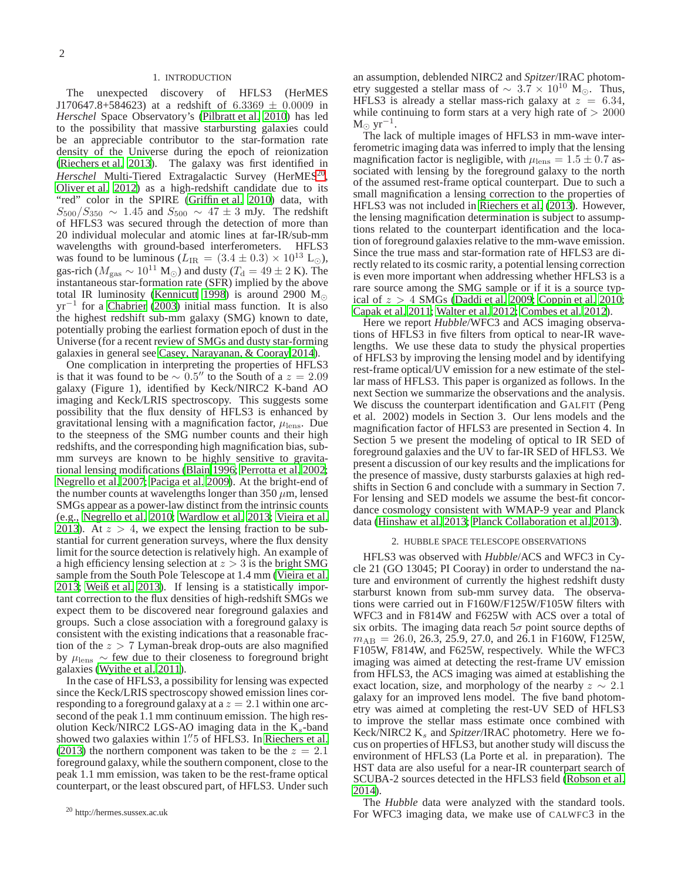## 1. INTRODUCTION

The unexpected discovery of HFLS3 (HerMES J170647.8+584623) at a redshift of  $6.3369 \pm 0.0009$  in *Herschel* Space Observatory's [\(Pilbratt et al. 2010\)](#page-8-0) has led to the possibility that massive starbursting galaxies could be an appreciable contributor to the star-formation rate density of the Universe during the epoch of reionization [\(Riechers et al. 2013\)](#page-8-1). The galaxy was first identified in Herschel Multi-Tiered Extragalactic Survey (HerMES<sup>[20](#page-1-0)</sup>, [Oliver et al. 2012\)](#page-8-2) as a high-redshift candidate due to its "red" color in the SPIRE [\(Griffin et al. 2010\)](#page-8-3) data, with  $S_{500}/S_{350} \sim 1.45$  and  $S_{500} \sim 47 \pm 3$  mJy. The redshift of HFLS3 was secured through the detection of more than 20 individual molecular and atomic lines at far-IR/sub-mm wavelengths with ground-based interferometers. HFLS3 was found to be luminous ( $L_{IR} = (3.4 \pm 0.3) \times 10^{13}$  L<sub>☉</sub>), gas-rich ( $M_{\text{gas}} \sim 10^{11} \text{ M}_{\odot}$ ) and dusty ( $T_{\text{d}} = 49 \pm 2 \text{ K}$ ). The instantaneous star-formation rate (SFR) implied by the above total IR luminosity [\(Kennicutt 1998\)](#page-8-4) is around 2900 M<sub>☉</sub> yr<sup>-1</sup> for a [Chabrier](#page-8-5) [\(2003\)](#page-8-5) initial mass function. It is also the highest redshift sub-mm galaxy (SMG) known to date, potentially probing the earliest formation epoch of dust in the Universe (for a recent review of SMGs and dusty star-forming galaxies in general see [Casey, Narayanan, & Cooray 2014\)](#page-8-6).

One complication in interpreting the properties of HFLS3 is that it was found to be  $\sim 0.5''$  to the South of a  $z = 2.09$ galaxy (Figure 1), identified by Keck/NIRC2 K-band AO imaging and Keck/LRIS spectroscopy. This suggests some possibility that the flux density of HFLS3 is enhanced by gravitational lensing with a magnification factor,  $\mu_{\rm lens}$ . Due to the steepness of the SMG number counts and their high redshifts, and the corresponding high magnification bias, submm surveys are known to be highly sensitive to gravitational lensing modifications [\(Blain 1996](#page-8-7); [Perrotta et al. 2002;](#page-8-8) [Negrello et al. 2007;](#page-8-9) [Paciga et al. 2009](#page-8-10)). At the bright-end of the number counts at wavelengths longer than 350  $\mu$ m, lensed SMGs appear as a power-law distinct from the intrinsic counts (e.g., [Negrello et al. 2010;](#page-8-11) [Wardlow et al. 2013;](#page-8-12) [Vieira et al.](#page-8-13) [2013\)](#page-8-13). At  $z > 4$ , we expect the lensing fraction to be substantial for current generation surveys, where the flux density limit for the source detection is relatively high. An example of a high efficiency lensing selection at  $z > 3$  is the bright SMG sample from the South Pole Telescope at 1.4 mm [\(Vieira et al.](#page-8-13) [2013;](#page-8-13) [Weiß et al. 2013\)](#page-8-14). If lensing is a statistically important correction to the flux densities of high-redshift SMGs we expect them to be discovered near foreground galaxies and groups. Such a close association with a foreground galaxy is consistent with the existing indications that a reasonable fraction of the  $z > 7$  Lyman-break drop-outs are also magnified by  $\mu_{\text{lens}} \sim$  few due to their closeness to foreground bright galaxies [\(Wyithe et al. 2011\)](#page-8-15).

In the case of HFLS3, a possibility for lensing was expected since the Keck/LRIS spectroscopy showed emission lines corresponding to a foreground galaxy at a  $z = 2.1$  within one arcsecond of the peak 1.1 mm continuum emission. The high resolution Keck/NIRC2 LGS-AO imaging data in the  $K_s$ -band showed two galaxies within 1" 5 of HFLS3. In [Riechers et al.](#page-8-1) [\(2013](#page-8-1)) the northern component was taken to be the  $z = 2.1$ foreground galaxy, while the southern component, close to the peak 1.1 mm emission, was taken to be the rest-frame optical counterpart, or the least obscured part, of HFLS3. Under such an assumption, deblended NIRC2 and *Spitzer*/IRAC photometry suggested a stellar mass of  $\sim 3.7 \times 10^{10}$  M<sub>⊙</sub>. Thus, HFLS3 is already a stellar mass-rich galaxy at  $z = 6.34$ , while continuing to form stars at a very high rate of  $> 2000$  $M_{\odot}$  yr<sup>-1</sup>.

The lack of multiple images of HFLS3 in mm-wave interferometric imaging data was inferred to imply that the lensing magnification factor is negligible, with  $\mu_{\rm lens} = 1.5 \pm 0.7$  associated with lensing by the foreground galaxy to the north of the assumed rest-frame optical counterpart. Due to such a small magnification a lensing correction to the properties of HFLS3 was not included in [Riechers et al. \(2013](#page-8-1)). However, the lensing magnification determination is subject to assumptions related to the counterpart identification and the location of foreground galaxies relative to the mm-wave emission. Since the true mass and star-formation rate of HFLS3 are directly related to its cosmic rarity, a potential lensing correction is even more important when addressing whether HFLS3 is a rare source among the SMG sample or if it is a source typical of  $z > 4$  SMGs [\(Daddi et al. 2009;](#page-8-16) [Coppin et al. 2010](#page-8-17); [Capak et al. 2011;](#page-8-18) [Walter et al. 2012](#page-8-19); [Combes et al. 2012\)](#page-8-20).

Here we report *Hubble*/WFC3 and ACS imaging observations of HFLS3 in five filters from optical to near-IR wavelengths. We use these data to study the physical properties of HFLS3 by improving the lensing model and by identifying rest-frame optical/UV emission for a new estimate of the stellar mass of HFLS3. This paper is organized as follows. In the next Section we summarize the observations and the analysis. We discuss the counterpart identification and GALFIT (Peng et al. 2002) models in Section 3. Our lens models and the magnification factor of HFLS3 are presented in Section 4. In Section 5 we present the modeling of optical to IR SED of foreground galaxies and the UV to far-IR SED of HFLS3. We present a discussion of our key results and the implicationsfor the presence of massive, dusty starbursts galaxies at high redshifts in Section 6 and conclude with a summary in Section 7. For lensing and SED models we assume the best-fit concordance cosmology consistent with WMAP-9 year and Planck data [\(Hinshaw et al. 2013;](#page-8-21) [Planck Collaboration et al. 2013\)](#page-8-22).

#### 2. HUBBLE SPACE TELESCOPE OBSERVATIONS

HFLS3 was observed with *Hubble*/ACS and WFC3 in Cycle 21 (GO 13045; PI Cooray) in order to understand the nature and environment of currently the highest redshift dusty starburst known from sub-mm survey data. The observations were carried out in F160W/F125W/F105W filters with WFC3 and in F814W and F625W with ACS over a total of six orbits. The imaging data reach  $5\sigma$  point source depths of  $m_{AB}$  = 26.0, 26.3, 25.9, 27.0, and 26.1 in F160W, F125W, F105W, F814W, and F625W, respectively. While the WFC3 imaging was aimed at detecting the rest-frame UV emission from HFLS3, the ACS imaging was aimed at establishing the exact location, size, and morphology of the nearby  $z \sim 2.1$ galaxy for an improved lens model. The five band photometry was aimed at completing the rest-UV SED of HFLS3 to improve the stellar mass estimate once combined with Keck/NIRC2 K<sub>s</sub> and *Spitzer*/IRAC photometry. Here we focus on properties of HFLS3, but another study will discuss the environment of HFLS3 (La Porte et al. in preparation). The HST data are also useful for a near-IR counterpart search of SCUBA-2 sources detected in the HFLS3 field [\(Robson et al.](#page-8-23) [2014\)](#page-8-23).

The *Hubble* data were analyzed with the standard tools. For WFC3 imaging data, we make use of CALWFC3 in the

<span id="page-1-0"></span><sup>20</sup> http://hermes.sussex.ac.uk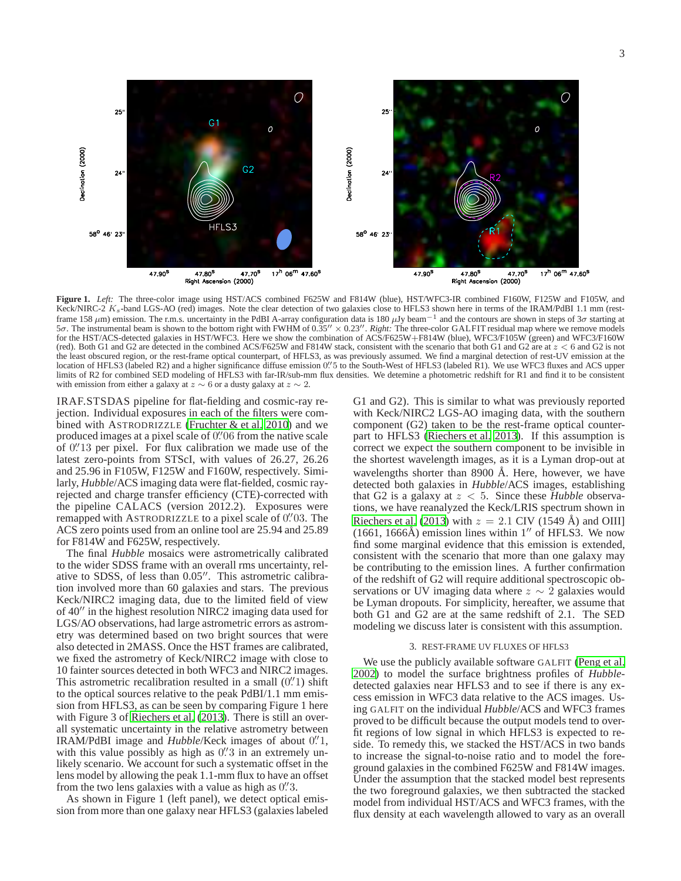

**Figure 1.** *Left:* The three-color image using HST/ACS combined F625W and F814W (blue), HST/WFC3-IR combined F160W, F125W and F105W, and Keck/NIRC-2 K<sub>s</sub>-band LGS-AO (red) images. Note the clear detection of two galaxies close to HFLS3 shown here in terms of the IRAM/PdBI 1.1 mm (restframe 158  $\mu$ m) emission. The r.m.s. uncertainty in the PdBI A-array configuration data is 180  $\mu$ Jy beam<sup>-1</sup> and the contours are shown in steps of 3 $\sigma$  starting at 5σ. The instrumental beam is shown to the bottom right with FWHM of 0.35′′ × 0.23′′ . *Right:* The three-color GALFIT residual map where we remove models for the HST/ACS-detected galaxies in HST/WFC3. Here we show the combination of ACS/F625W+F814W (blue), WFC3/F105W (green) and WFC3/F160W (red). Both G1 and G2 are detected in the combined ACS/F625W and F814W stack, consistent with the scenario that both G1 and G2 are at  $z < 6$  and G2 is not the least obscured region, or the rest-frame optical counterpart, of HFLS3, as was previously assumed. We find a marginal detection of rest-UV emission at the location of HFLS3 (labeled R2) and a higher significance diffuse emission 0. 5 to the South-West of HFLS3 (labeled R1). We use WFC3 fluxes and ACS upper limits of R2 for combined SED modeling of HFLS3 with far-IR/sub-mm flux densities. We detemine a photometric redshift for R1 and find it to be consistent with emission from either a galaxy at  $z \sim 6$  or a dusty galaxy at  $z \sim 2$ .

IRAF.STSDAS pipeline for flat-fielding and cosmic-ray rejection. Individual exposures in each of the filters were combined with ASTRODRIZZLE [\(Fruchter & et al. 2010](#page-8-24)) and we produced images at a pixel scale of 0. 06 from the native scale of 0. ′′13 per pixel. For flux calibration we made use of the latest zero-points from STScI, with values of 26.27, 26.26 and 25.96 in F105W, F125W and F160W, respectively. Similarly, *Hubble*/ACS imaging data were flat-fielded, cosmic rayrejected and charge transfer efficiency (CTE)-corrected with the pipeline CALACS (version 2012.2). Exposures were remapped with ASTRODRIZZLE to a pixel scale of 0. The ACS zero points used from an online tool are 25.94 and 25.89 for F814W and F625W, respectively.

The final *Hubble* mosaics were astrometrically calibrated to the wider SDSS frame with an overall rms uncertainty, relative to SDSS, of less than 0.05′′. This astrometric calibration involved more than 60 galaxies and stars. The previous Keck/NIRC2 imaging data, due to the limited field of view of 40′′ in the highest resolution NIRC2 imaging data used for LGS/AO observations, had large astrometric errors as astrometry was determined based on two bright sources that were also detected in 2MASS. Once the HST frames are calibrated, we fixed the astrometry of Keck/NIRC2 image with close to 10 fainter sources detected in both WFC3 and NIRC2 images. This astrometric recalibration resulted in a small  $(0''1)$  shift to the optical sources relative to the peak PdBI/1.1 mm emission from HFLS3, as can be seen by comparing Figure 1 here with Figure 3 of [Riechers et al.](#page-8-1) [\(2013\)](#page-8-1). There is still an overall systematic uncertainty in the relative astrometry between IRAM/PdBI image and *Hubble/Keck* images of about 0.'1, with this value possibly as high as  $0\rlap{.}^{\prime\prime}3$  in an extremely unlikely scenario. We account for such a systematic offset in the lens model by allowing the peak 1.1-mm flux to have an offset from the two lens galaxies with a value as high as  $0$ .  $\hspace{0.1cm}\text{3.}$ 

As shown in Figure 1 (left panel), we detect optical emission from more than one galaxy near HFLS3 (galaxies labeled

G1 and G2). This is similar to what was previously reported with Keck/NIRC2 LGS-AO imaging data, with the southern component (G2) taken to be the rest-frame optical counterpart to HFLS3 [\(Riechers et al. 2013](#page-8-1)). If this assumption is correct we expect the southern component to be invisible in the shortest wavelength images, as it is a Lyman drop-out at wavelengths shorter than 8900 Å. Here, however, we have detected both galaxies in *Hubble*/ACS images, establishing that G2 is a galaxy at  $z < 5$ . Since these *Hubble* observations, we have reanalyzed the Keck/LRIS spectrum shown in [Riechers et al.](#page-8-1) [\(2013\)](#page-8-1) with  $z = 2.1$  CIV (1549 Å) and OIII]  $(1661, 1666\text{\AA})$  emission lines within  $1''$  of HFLS3. We now find some marginal evidence that this emission is extended, consistent with the scenario that more than one galaxy may be contributing to the emission lines. A further confirmation of the redshift of G2 will require additional spectroscopic observations or UV imaging data where  $z \sim 2$  galaxies would be Lyman dropouts. For simplicity, hereafter, we assume that both G1 and G2 are at the same redshift of 2.1. The SED modeling we discuss later is consistent with this assumption.

#### 3. REST-FRAME UV FLUXES OF HFLS3

We use the publicly available software GALFIT [\(Peng et al.](#page-8-25) [2002\)](#page-8-25) to model the surface brightness profiles of *Hubble*detected galaxies near HFLS3 and to see if there is any excess emission in WFC3 data relative to the ACS images. Using GALFIT on the individual *Hubble*/ACS and WFC3 frames proved to be difficult because the output models tend to overfit regions of low signal in which HFLS3 is expected to reside. To remedy this, we stacked the HST/ACS in two bands to increase the signal-to-noise ratio and to model the foreground galaxies in the combined F625W and F814W images. Under the assumption that the stacked model best represents the two foreground galaxies, we then subtracted the stacked model from individual HST/ACS and WFC3 frames, with the flux density at each wavelength allowed to vary as an overall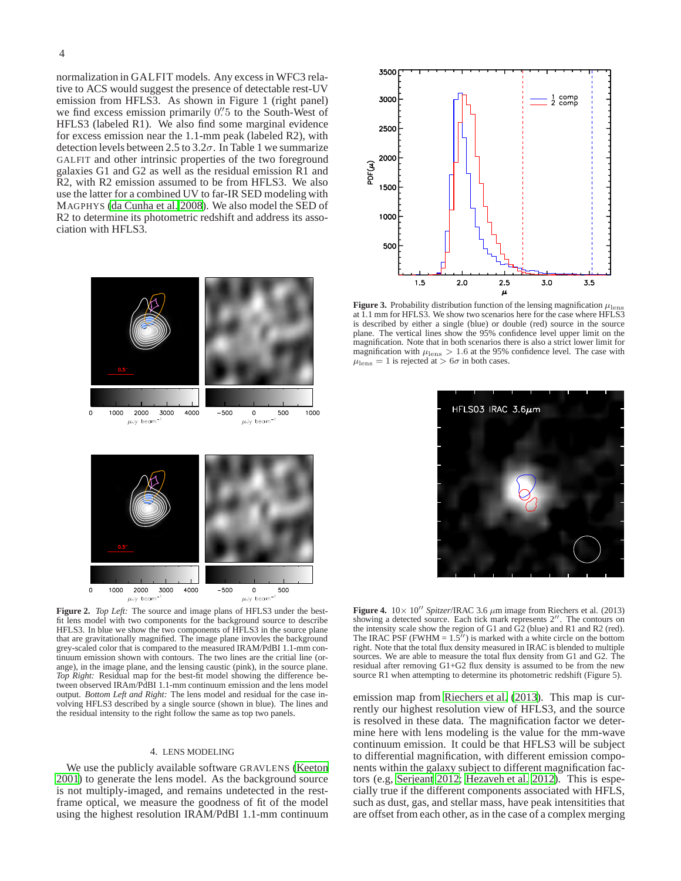normalization in GALFIT models. Any excess in WFC3 relative to ACS would suggest the presence of detectable rest-UV emission from HFLS3. As shown in Figure 1 (right panel) we find excess emission primarily 0. 5 to the South-West of HFLS3 (labeled R1). We also find some marginal evidence for excess emission near the 1.1-mm peak (labeled R2), with detection levels between 2.5 to  $3.2\sigma$ . In Table 1 we summarize GALFIT and other intrinsic properties of the two foreground galaxies G1 and G2 as well as the residual emission R1 and R2, with R2 emission assumed to be from HFLS3. We also use the latter for a combined UV to far-IR SED modeling with MAGPHYS [\(da Cunha et al. 2008](#page-8-26)). We also model the SED of R2 to determine its photometric redshift and address its association with HFLS3.





**Figure 2.** *Top Left:* The source and image plans of HFLS3 under the bestfit lens model with two components for the background source to describe HFLS3. In blue we show the two components of HFLS3 in the source plane that are gravitationally magnified. The image plane invovles the background grey-scaled color that is compared to the measured IRAM/PdBI 1.1-mm continuum emission shown with contours. The two lines are the critial line (orange), in the image plane, and the lensing caustic (pink), in the source plane. *Top Right:* Residual map for the best-fit model showing the difference between observed IRAm/PdBI 1.1-mm continuum emission and the lens model output. *Bottom Left and Right:* The lens model and residual for the case involving HFLS3 described by a single source (shown in blue). The lines and the residual intensity to the right follow the same as top two panels.

# 4. LENS MODELING

We use the publicly available software GRAVLENS [\(Keeton](#page-8-27) [2001\)](#page-8-27) to generate the lens model. As the background source is not multiply-imaged, and remains undetected in the restframe optical, we measure the goodness of fit of the model using the highest resolution IRAM/PdBI 1.1-mm continuum



**Figure 3.** Probability distribution function of the lensing magnification  $\mu_{\text{lens}}$  at 1.1 mm for HFLS3. We show two scenarios here for the case where HFLS3 is described by either a single (blue) or double (red) source in the source plane. The vertical lines show the 95% confidence level upper limit on the magnification. Note that in both scenarios there is also a strict lower limit for magnification with  $\mu_{\rm lens} > 1.6$  at the 95% confidence level. The case with  $\mu_{\rm lens} = 1$  is rejected at  $> 6\sigma$  in both cases.



**Figure 4.**  $10 \times 10''$  *Spitzer*/IRAC 3.6  $\mu$ m image from Riechers et al. (2013) showing a detected source. Each tick mark represents 2′′. The contours on the intensity scale show the region of G1 and  $\overrightarrow{G2}$  (blue) and R1 and R2 (red). The IRAC PSF (FWHM  $= 1.5''$ ) is marked with a white circle on the bottom right. Note that the total flux density measured in IRAC is blended to multiple sources. We are able to measure the total flux density from G1 and G2. The residual after removing G1+G2 flux density is assumed to be from the new source R1 when attempting to determine its photometric redshift (Figure 5).

emission map from [Riechers et al. \(2013](#page-8-1)). This map is currently our highest resolution view of HFLS3, and the source is resolved in these data. The magnification factor we determine here with lens modeling is the value for the mm-wave continuum emission. It could be that HFLS3 will be subject to differential magnification, with different emission components within the galaxy subject to different magnification factors (e.g, [Serjeant 2012;](#page-8-28) [Hezaveh et al. 2012\)](#page-8-29). This is especially true if the different components associated with HFLS, such as dust, gas, and stellar mass, have peak intensitities that are offset from each other, as in the case of a complex merging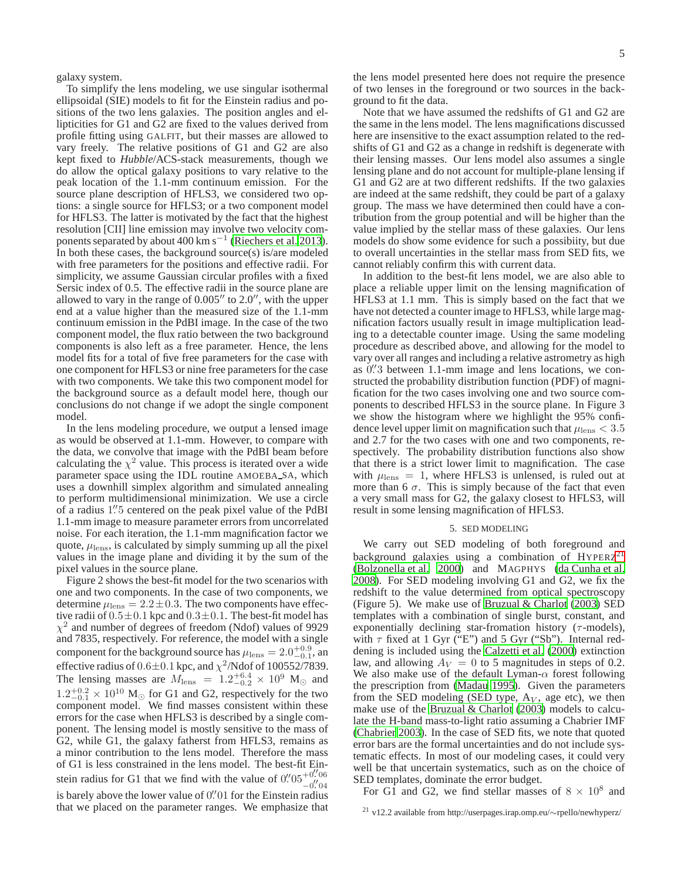galaxy system.

To simplify the lens modeling, we use singular isothermal ellipsoidal (SIE) models to fit for the Einstein radius and positions of the two lens galaxies. The position angles and ellipticities for G1 and G2 are fixed to the values derived from profile fitting using GALFIT, but their masses are allowed to vary freely. The relative positions of G1 and G2 are also kept fixed to *Hubble*/ACS-stack measurements, though we do allow the optical galaxy positions to vary relative to the peak location of the 1.1-mm continuum emission. For the source plane description of HFLS3, we considered two options: a single source for HFLS3; or a two component model for HFLS3. The latter is motivated by the fact that the highest resolution [CII] line emission may involve two velocity com-ponents separated by about 400 km s<sup>-1</sup> [\(Riechers et al. 2013\)](#page-8-1). In both these cases, the background source(s) is/are modeled with free parameters for the positions and effective radii. For simplicity, we assume Gaussian circular profiles with a fixed Sersic index of 0.5. The effective radii in the source plane are allowed to vary in the range of 0.005′′ to 2.0′′, with the upper end at a value higher than the measured size of the 1.1-mm continuum emission in the PdBI image. In the case of the two component model, the flux ratio between the two background components is also left as a free parameter. Hence, the lens model fits for a total of five free parameters for the case with one component for HFLS3 or nine free parameters for the case with two components. We take this two component model for the background source as a default model here, though our conclusions do not change if we adopt the single component model.

In the lens modeling procedure, we output a lensed image as would be observed at 1.1-mm. However, to compare with the data, we convolve that image with the PdBI beam before calculating the  $\chi^2$  value. This process is iterated over a wide parameter space using the IDL routine AMOEBA SA, which uses a downhill simplex algorithm and simulated annealing to perform multidimensional minimization. We use a circle of a radius 1"5 centered on the peak pixel value of the PdBI 1.1-mm image to measure parameter errors from uncorrelated noise. For each iteration, the 1.1-mm magnification factor we quote,  $\mu_{\rm lens}$ , is calculated by simply summing up all the pixel values in the image plane and dividing it by the sum of the pixel values in the source plane.

Figure 2 shows the best-fit model for the two scenarios with one and two components. In the case of two components, we determine  $\mu_{\rm lens} = 2.2 \pm 0.3$ . The two components have effective radii of  $0.5 \pm 0.1$  kpc and  $0.3 \pm 0.1$ . The best-fit model has  $\chi^2$  and number of degrees of freedom (Ndof) values of 9929 and 7835, respectively. For reference, the model with a single component for the background source has  $\mu_{\rm lens} = 2.0^{+0.9}_{-0.1}$ , and effective radius of  $0.6 \pm 0.1$  kpc, and  $\chi^2$ /Ndof of 100552/7839. The lensing masses are  $M_{\text{lens}} = 1.2^{+6.4}_{-0.2} \times 10^9$  M<sub>☉</sub> and  $1.2^{+0.2}_{-0.1} \times 10^{10}$  M<sub>☉</sub> for G1 and G2, respectively for the two component model. We find masses consistent within these errors for the case when HFLS3 is described by a single component. The lensing model is mostly sensitive to the mass of G2, while G1, the galaxy fatherst from HFLS3, remains as a minor contribution to the lens model. Therefore the mass of G1 is less constrained in the lens model. The best-fit Einstein radius for G1 that we find with the value of  $0''05^{+0.76}_{-0.06}$  $-0.^{\prime\prime}$ 04 is barely above the lower value of 0. 01 for the Einstein radius that we placed on the parameter ranges. We emphasize that

the lens model presented here does not require the presence of two lenses in the foreground or two sources in the background to fit the data.

Note that we have assumed the redshifts of G1 and G2 are the same in the lens model. The lens magnifications discussed here are insensitive to the exact assumption related to the redshifts of G1 and G2 as a change in redshift is degenerate with their lensing masses. Our lens model also assumes a single lensing plane and do not account for multiple-plane lensing if G1 and G2 are at two different redshifts. If the two galaxies are indeed at the same redshift, they could be part of a galaxy group. The mass we have determined then could have a contribution from the group potential and will be higher than the value implied by the stellar mass of these galaxies. Our lens models do show some evidence for such a possibiity, but due to overall uncertainties in the stellar mass from SED fits, we cannot reliably confirm this with current data.

In addition to the best-fit lens model, we are also able to place a reliable upper limit on the lensing magnification of HFLS3 at 1.1 mm. This is simply based on the fact that we have not detected a counter image to HFLS3, while large magnification factors usually result in image multiplication leading to a detectable counter image. Using the same modeling procedure as described above, and allowing for the model to vary over all ranges and including a relative astrometry as high as 0.'3 between 1.1-mm image and lens locations, we constructed the probability distribution function (PDF) of magnification for the two cases involving one and two source components to described HFLS3 in the source plane. In Figure 3 we show the histogram where we highlight the 95% confidence level upper limit on magnification such that  $\mu_{\rm lens} < 3.5$ and 2.7 for the two cases with one and two components, respectively. The probability distribution functions also show that there is a strict lower limit to magnification. The case with  $\mu_{\rm lens} = 1$ , where HFLS3 is unlensed, is ruled out at more than 6  $\sigma$ . This is simply because of the fact that even a very small mass for G2, the galaxy closest to HFLS3, will result in some lensing magnification of HFLS3.

# 5. SED MODELING

We carry out SED modeling of both foreground and background galaxies using a combination of  $HYPERZ<sup>21</sup>$  $HYPERZ<sup>21</sup>$  $HYPERZ<sup>21</sup>$ [\(Bolzonella et al. 2000\)](#page-8-30) and MAGPHYS [\(da Cunha et al.](#page-8-26) [2008\)](#page-8-26). For SED modeling involving G1 and G2, we fix the redshift to the value determined from optical spectroscopy (Figure 5). We make use of Bruzual  $&$  Charlot [\(2003\)](#page-8-31) SED templates with a combination of single burst, constant, and exponentially declining star-fromation history  $(\tau$ -models), with  $\tau$  fixed at 1 Gyr ("E") and 5 Gyr ("Sb"). Internal reddening is included using the [Calzetti et al.](#page-8-32) [\(2000\)](#page-8-32) extinction law, and allowing  $A_V = 0$  to 5 magnitudes in steps of 0.2. We also make use of the default Lyman- $\alpha$  forest following the prescription from [\(Madau 1995\)](#page-8-33). Given the parameters from the SED modeling (SED type,  $A_V$ , age etc), we then make use of the [Bruzual & Charlot](#page-8-31) [\(2003\)](#page-8-31) models to calculate the H-band mass-to-light ratio assuming a Chabrier IMF [\(Chabrier 2003\)](#page-8-5). In the case of SED fits, we note that quoted error bars are the formal uncertainties and do not include systematic effects. In most of our modeling cases, it could very well be that uncertain systematics, such as on the choice of SED templates, dominate the error budget.

For G1 and G2, we find stellar masses of  $8 \times 10^8$  and

<span id="page-4-0"></span><sup>21</sup> v12.2 available from http://userpages.irap.omp.eu/∼rpello/newhyperz/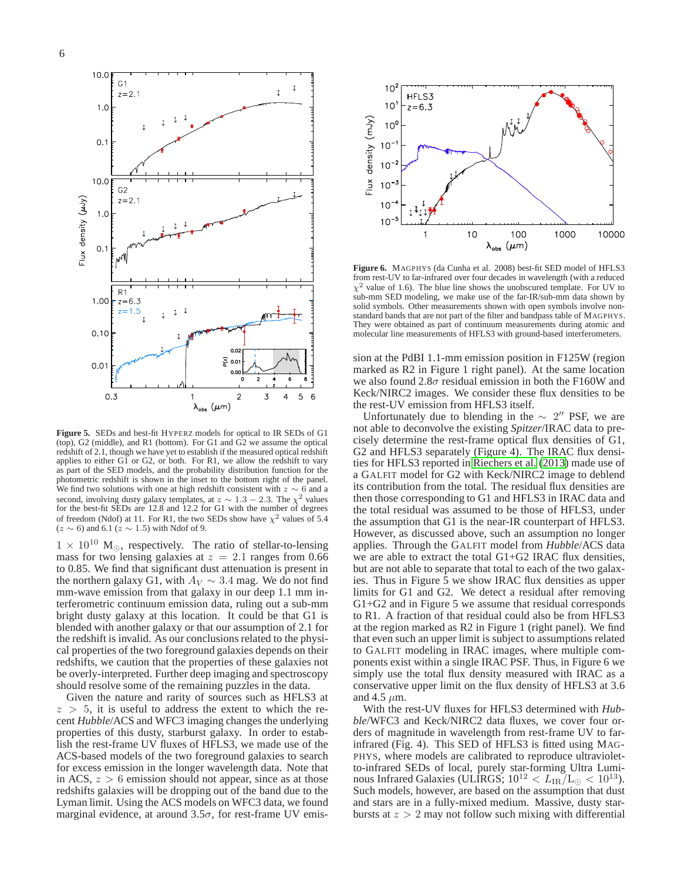

**Figure 5.** SEDs and best-fit HYPERZ models for optical to IR SEDs of G1 (top), G2 (middle), and R1 (bottom). For G1 and G2 we assume the optical redshift of 2.1, though we have yet to establish if the measured optical redshift applies to either G1 or G2, or both. For R1, we allow the redshift to vary as part of the SED models, and the probability distribution function for the photometric redshift is shown in the inset to the bottom right of the panel. We find two solutions with one at high redshift consistent with  $z \sim 6$  and a second, involving dusty galaxy templates, at  $z \sim 1.3 - 2.3$ . The  $\chi^2$  values for the best-fit SEDs are 12.8 and 12.2 for G1 with the number of degrees of freedom (Ndof) at 11. For R1, the two SEDs show have  $\chi^2$  values of 5.4  $(z \sim 6)$  and 6.1  $(z \sim 1.5)$  with Ndof of 9.

 $1 \times 10^{10}$  M<sub>⊙</sub>, respectively. The ratio of stellar-to-lensing mass for two lensing galaxies at  $z = 2.1$  ranges from 0.66 to 0.85. We find that significant dust attenuation is present in the northern galaxy G1, with  $A_V \sim 3.4$  mag. We do not find mm-wave emission from that galaxy in our deep 1.1 mm interferometric continuum emission data, ruling out a sub-mm bright dusty galaxy at this location. It could be that G1 is blended with another galaxy or that our assumption of 2.1 for the redshift is invalid. As our conclusions related to the physical properties of the two foreground galaxies depends on their redshifts, we caution that the properties of these galaxies not be overly-interpreted. Further deep imaging and spectroscopy should resolve some of the remaining puzzles in the data.

Given the nature and rarity of sources such as HFLS3 at  $z > 5$ , it is useful to address the extent to which the recent *Hubble*/ACS and WFC3 imaging changes the underlying properties of this dusty, starburst galaxy. In order to establish the rest-frame UV fluxes of HFLS3, we made use of the ACS-based models of the two foreground galaxies to search for excess emission in the longer wavelength data. Note that in ACS,  $z > 6$  emission should not appear, since as at those redshifts galaxies will be dropping out of the band due to the Lyman limit. Using the ACS models on WFC3 data, we found marginal evidence, at around  $3.5\sigma$ , for rest-frame UV emis-



**Figure 6.** MAGPHYS (da Cunha et al. 2008) best-fit SED model of HFLS3 from rest-UV to far-infrared over four decades in wavelength (with a reduced  $\chi^2$  value of 1.6). The blue line shows the unobscured template. For UV to sub-mm SED modeling, we make use of the far-IR/sub-mm data shown by solid symbols. Other measurements shown with open symbols involve nonstandard bands that are not part of the filter and bandpass table of MAGPHYS. They were obtained as part of continuum measurements during atomic and molecular line measurements of HFLS3 with ground-based interferometers.

sion at the PdBI 1.1-mm emission position in F125W (region marked as R2 in Figure 1 right panel). At the same location we also found 2.8 $\sigma$  residual emission in both the F160W and Keck/NIRC2 images. We consider these flux densities to be the rest-UV emission from HFLS3 itself.

Unfortunately due to blending in the  $\sim 2''$  PSF, we are not able to deconvolve the existing *Spitzer*/IRAC data to precisely determine the rest-frame optical flux densities of G1, G2 and HFLS3 separately (Figure 4). The IRAC flux densities for HFLS3 reported in [Riechers et al. \(2013](#page-8-1)) made use of a GALFIT model for G2 with Keck/NIRC2 image to deblend its contribution from the total. The residual flux densities are then those corresponding to G1 and HFLS3 in IRAC data and the total residual was assumed to be those of HFLS3, under the assumption that G1 is the near-IR counterpart of HFLS3. However, as discussed above, such an assumption no longer applies. Through the GALFIT model from *Hubble*/ACS data we are able to extract the total G1+G2 IRAC flux densities, but are not able to separate that total to each of the two galaxies. Thus in Figure 5 we show IRAC flux densities as upper limits for G1 and G2. We detect a residual after removing G1+G2 and in Figure 5 we assume that residual corresponds to R1. A fraction of that residual could also be from HFLS3 at the region marked as R2 in Figure 1 (right panel). We find that even such an upper limit is subject to assumptions related to GALFIT modeling in IRAC images, where multiple components exist within a single IRAC PSF. Thus, in Figure 6 we simply use the total flux density measured with IRAC as a conservative upper limit on the flux density of HFLS3 at 3.6 and 4.5  $\mu$ m.

With the rest-UV fluxes for HFLS3 determined with *Hubble*/WFC3 and Keck/NIRC2 data fluxes, we cover four orders of magnitude in wavelength from rest-frame UV to farinfrared (Fig. 4). This SED of HFLS3 is fitted using MAG-PHYS, where models are calibrated to reproduce ultravioletto-infrared SEDs of local, purely star-forming Ultra Luminous Infrared Galaxies (ULIRGS;  $10^{12} < L_{IR}/L_{\odot} < 10^{13}$ ). Such models, however, are based on the assumption that dust and stars are in a fully-mixed medium. Massive, dusty starbursts at  $z > 2$  may not follow such mixing with differential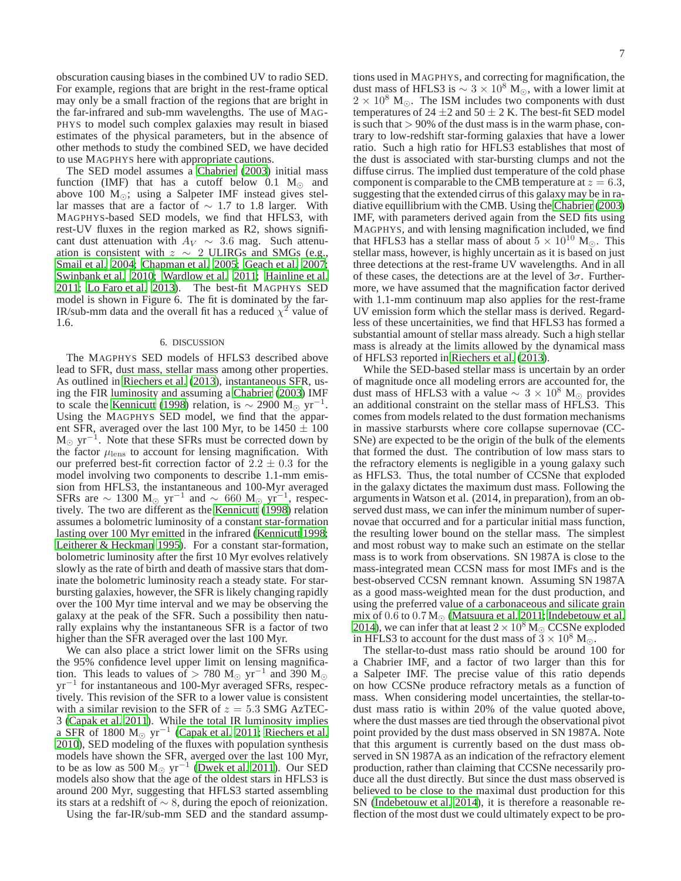obscuration causing biases in the combined UV to radio SED. For example, regions that are bright in the rest-frame optical may only be a small fraction of the regions that are bright in the far-infrared and sub-mm wavelengths. The use of MAG-PHYS to model such complex galaxies may result in biased estimates of the physical parameters, but in the absence of other methods to study the combined SED, we have decided to use MAGPHYS here with appropriate cautions.

The SED model assumes a [Chabrier \(2003](#page-8-5)) initial mass function (IMF) that has a cutoff below 0.1  $M_{\odot}$  and above 100  $M_{\odot}$ ; using a Salpeter IMF instead gives stellar masses that are a factor of  $\sim$  1.7 to 1.8 larger. With MAGPHYS-based SED models, we find that HFLS3, with rest-UV fluxes in the region marked as R2, shows significant dust attenuation with  $A_V \sim 3.6$  mag. Such attenuation is consistent with  $z \sim 2$  ULIRGs and SMGs (e.g., [Smail et al. 2004;](#page-8-34) [Chapman et al. 2005;](#page-8-35) [Geach et al. 2007;](#page-8-36) [Swinbank et al. 2010](#page-8-37); [Wardlow et al. 2011;](#page-8-38) [Hainline et al.](#page-8-39) [2011;](#page-8-39) [Lo Faro et al. 2013](#page-8-40)). The best-fit MAGPHYS SED model is shown in Figure 6. The fit is dominated by the far-IR/sub-mm data and the overall fit has a reduced  $\chi^2$  value of 1.6.

# 6. DISCUSSION

The MAGPHYS SED models of HFLS3 described above lead to SFR, dust mass, stellar mass among other properties. As outlined in [Riechers et al. \(2013\)](#page-8-1), instantaneous SFR, using the FIR luminosity and assuming a [Chabrier \(2003](#page-8-5)) IMF to scale the [Kennicutt](#page-8-4) [\(1998\)](#page-8-4) relation, is  $\sim$  2900 M<sub>☉</sub> yr<sup>-1</sup>. Using the MAGPHYS SED model, we find that the apparent SFR, averaged over the last 100 Myr, to be  $1450 \pm 100$  $M_{\odot}$  yr<sup>-1</sup>. Note that these SFRs must be corrected down by the factor  $\mu_{\rm lens}$  to account for lensing magnification. With our preferred best-fit correction factor of  $2.2 \pm 0.3$  for the model involving two components to describe 1.1-mm emission from HFLS3, the instantaneous and 100-Myr averaged SFRs are  $\sim 1300 \text{ M}_{\odot} \text{ yr}^{-1}$  and  $\sim 660 \text{ M}_{\odot} \text{ yr}^{-1}$ , respectively. The two are different as the [Kennicutt](#page-8-4) [\(1998\)](#page-8-4) relation assumes a bolometric luminosity of a constant star-formation lasting over 100 Myr emitted in the infrared [\(Kennicutt 1998;](#page-8-4) [Leitherer & Heckman 1995\)](#page-8-41). For a constant star-formation, bolometric luminosity after the first 10 Myr evolves relatively slowly as the rate of birth and death of massive stars that dominate the bolometric luminosity reach a steady state. For starbursting galaxies, however, the SFR is likely changing rapidly over the 100 Myr time interval and we may be observing the galaxy at the peak of the SFR. Such a possibility then naturally explains why the instantaneous SFR is a factor of two higher than the SFR averaged over the last 100 Myr.

We can also place a strict lower limit on the SFRs using the 95% confidence level upper limit on lensing magnification. This leads to values of > 780 M<sub>☉</sub> yr<sup>-1</sup> and 390 M<sub>☉</sub> yr<sup>−</sup><sup>1</sup> for instantaneous and 100-Myr averaged SFRs, respectively. This revision of the SFR to a lower value is consistent with a similar revision to the SFR of  $z = 5.3$  SMG AzTEC-3 [\(Capak et al. 2011\)](#page-8-18). While the total IR luminosity implies a SFR of 1800  $M_{\odot}$  yr<sup>-1</sup> [\(Capak et al. 2011;](#page-8-18) [Riechers et al.](#page-8-42) [2010\)](#page-8-42), SED modeling of the fluxes with population synthesis models have shown the SFR, averged over the last 100 Myr, to be as low as 500  $M_{\odot}$  yr<sup>-1</sup> [\(Dwek et al. 2011\)](#page-8-43). Our SED models also show that the age of the oldest stars in HFLS3 is around 200 Myr, suggesting that HFLS3 started assembling its stars at a redshift of ∼ 8, during the epoch of reionization.

Using the far-IR/sub-mm SED and the standard assump-

tions used in MAGPHYS, and correcting for magnification, the dust mass of HFLS3 is  $\sim 3 \times 10^8$  M<sub>☉</sub>, with a lower limit at  $2 \times 10^8$  M<sub>☉</sub>. The ISM includes two components with dust temperatures of 24  $\pm$ 2 and 50  $\pm$  2 K. The best-fit SED model is such that  $> 90\%$  of the dust mass is in the warm phase, contrary to low-redshift star-forming galaxies that have a lower ratio. Such a high ratio for HFLS3 establishes that most of the dust is associated with star-bursting clumps and not the diffuse cirrus. The implied dust temperature of the cold phase component is comparable to the CMB temperature at  $z = 6.3$ , suggesting that the extended cirrus of this galaxy may be in radiative equillibrium with the CMB. Using the [Chabrier](#page-8-5) [\(2003\)](#page-8-5) IMF, with parameters derived again from the SED fits using MAGPHYS, and with lensing magnification included, we find that HFLS3 has a stellar mass of about  $5 \times 10^{10}$  M<sub>☉</sub>. This stellar mass, however, is highly uncertain as it is based on just three detections at the rest-frame UV wavelengths. And in all of these cases, the detections are at the level of  $3\sigma$ . Furthermore, we have assumed that the magnification factor derived with 1.1-mm continuum map also applies for the rest-frame UV emission form which the stellar mass is derived. Regardless of these uncertainities, we find that HFLS3 has formed a substantial amount of stellar mass already. Such a high stellar mass is already at the limits allowed by the dynamical mass of HFLS3 reported in [Riechers et al.](#page-8-1) [\(2013\)](#page-8-1).

While the SED-based stellar mass is uncertain by an order of magnitude once all modeling errors are accounted for, the dust mass of HFLS3 with a value  $\sim 3 \times 10^8$  M<sub>☉</sub> provides an additional constraint on the stellar mass of HFLS3. This comes from models related to the dust formation mechanisms in massive starbursts where core collapse supernovae (CC-SNe) are expected to be the origin of the bulk of the elements that formed the dust. The contribution of low mass stars to the refractory elements is negligible in a young galaxy such as HFLS3. Thus, the total number of CCSNe that exploded in the galaxy dictates the maximum dust mass. Following the arguments in Watson et al. (2014, in preparation), from an observed dust mass, we can infer the minimum number of supernovae that occurred and for a particular initial mass function, the resulting lower bound on the stellar mass. The simplest and most robust way to make such an estimate on the stellar mass is to work from observations. SN 1987A is close to the mass-integrated mean CCSN mass for most IMFs and is the best-observed CCSN remnant known. Assuming SN 1987A as a good mass-weighted mean for the dust production, and using the preferred value of a carbonaceous and silicate grain mix of  $0.6$  to  $0.7\,\rm M_\odot$  [\(Matsuura et al. 2011](#page-8-44); [Indebetouw et al.](#page-8-45) [2014\)](#page-8-45), we can infer that at least  $2 \times 10^8$  M<sub>☉</sub> CCSNe exploded in HFLS3 to account for the dust mass of  $3 \times 10^8$  M<sub>o</sub>.

The stellar-to-dust mass ratio should be around 100 for a Chabrier IMF, and a factor of two larger than this for a Salpeter IMF. The precise value of this ratio depends on how CCSNe produce refractory metals as a function of mass. When considering model uncertainties, the stellar-todust mass ratio is within 20% of the value quoted above, where the dust masses are tied through the observational pivot point provided by the dust mass observed in SN 1987A. Note that this argument is currently based on the dust mass observed in SN 1987A as an indication of the refractory element production, rather than claiming that CCSNe necessarily produce all the dust directly. But since the dust mass observed is believed to be close to the maximal dust production for this SN [\(Indebetouw et al. 2014](#page-8-45)), it is therefore a reasonable reflection of the most dust we could ultimately expect to be pro-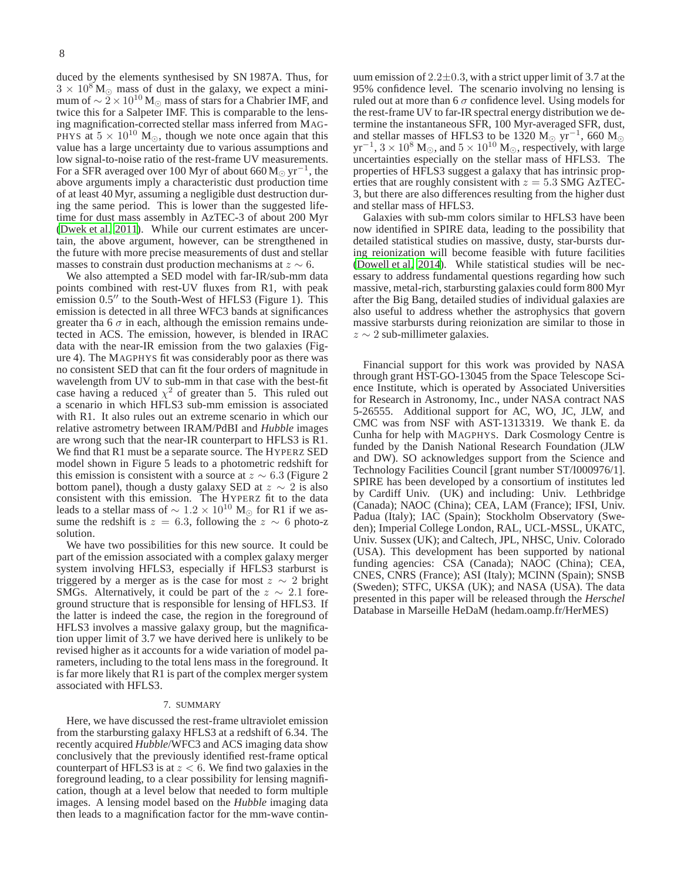duced by the elements synthesised by SN 1987A. Thus, for  $3 \times 10^8$  M<sub>o</sub> mass of dust in the galaxy, we expect a minimum of  $\sim$  2 × 10<sup>10</sup> M<sub>☉</sub> mass of stars for a Chabrier IMF, and twice this for a Salpeter IMF. This is comparable to the lensing magnification-corrected stellar mass inferred from MAG-PHYS at  $5 \times 10^{10}$  M<sub>☉</sub>, though we note once again that this value has a large uncertainty due to various assumptions and low signal-to-noise ratio of the rest-frame UV measurements. For a SFR averaged over 100 Myr of about 660 M $_{\odot}\rm\,yr^{-1}$ , the above arguments imply a characteristic dust production time of at least 40 Myr, assuming a negligible dust destruction during the same period. This is lower than the suggested lifetime for dust mass assembly in AzTEC-3 of about 200 Myr [\(Dwek et al. 2011\)](#page-8-43). While our current estimates are uncertain, the above argument, however, can be strengthened in the future with more precise measurements of dust and stellar masses to constrain dust production mechanisms at  $z \sim 6$ .

We also attempted a SED model with far-IR/sub-mm data points combined with rest-UV fluxes from R1, with peak emission  $0.5''$  to the South-West of HFLS3 (Figure 1). This emission is detected in all three WFC3 bands at significances greater tha 6  $\sigma$  in each, although the emission remains undetected in ACS. The emission, however, is blended in IRAC data with the near-IR emission from the two galaxies (Figure 4). The MAGPHYS fit was considerably poor as there was no consistent SED that can fit the four orders of magnitude in wavelength from UV to sub-mm in that case with the best-fit case having a reduced  $\chi^2$  of greater than 5. This ruled out a scenario in which HFLS3 sub-mm emission is associated with R1. It also rules out an extreme scenario in which our relative astrometry between IRAM/PdBI and *Hubble* images are wrong such that the near-IR counterpart to HFLS3 is R1. We find that R1 must be a separate source. The HYPERZ SED model shown in Figure 5 leads to a photometric redshift for this emission is consistent with a source at  $z \sim 6.3$  (Figure 2 bottom panel), though a dusty galaxy SED at  $z \sim 2$  is also consistent with this emission. The HYPERZ fit to the data leads to a stellar mass of  $\sim 1.2 \times 10^{10}$  M<sub>☉</sub> for R1 if we assume the redshift is  $z = 6.3$ , following the  $z \sim 6$  photo-z solution.

We have two possibilities for this new source. It could be part of the emission associated with a complex galaxy merger system involving HFLS3, especially if HFLS3 starburst is triggered by a merger as is the case for most  $z \sim 2$  bright SMGs. Alternatively, it could be part of the  $z \sim 2.1$  foreground structure that is responsible for lensing of HFLS3. If the latter is indeed the case, the region in the foreground of HFLS3 involves a massive galaxy group, but the magnification upper limit of 3.7 we have derived here is unlikely to be revised higher as it accounts for a wide variation of model parameters, including to the total lens mass in the foreground. It is far more likely that R1 is part of the complex merger system associated with HFLS3.

## 7. SUMMARY

Here, we have discussed the rest-frame ultraviolet emission from the starbursting galaxy HFLS3 at a redshift of 6.34. The recently acquired *Hubble*/WFC3 and ACS imaging data show conclusively that the previously identified rest-frame optical counterpart of HFLS3 is at  $z < 6$ . We find two galaxies in the foreground leading, to a clear possibility for lensing magnification, though at a level below that needed to form multiple images. A lensing model based on the *Hubble* imaging data then leads to a magnification factor for the mm-wave contin-

uum emission of  $2.2 \pm 0.3$ , with a strict upper limit of 3.7 at the 95% confidence level. The scenario involving no lensing is ruled out at more than 6  $\sigma$  confidence level. Using models for the rest-frame UV to far-IR spectral energy distribution we determine the instantaneous SFR, 100 Myr-averaged SFR, dust, and stellar masses of HFLS3 to be 1320 M<sub>☉</sub> yr<sup>-1</sup>, 660 M<sub>☉</sub>  $yr^{-1}$ ,  $3 \times 10^8$  M<sub>☉</sub>, and  $5 \times 10^{10}$  M<sub>☉</sub>, respectively, with large uncertainties especially on the stellar mass of HFLS3. The properties of HFLS3 suggest a galaxy that has intrinsic properties that are roughly consistent with  $z = 5.3$  SMG AzTEC-3, but there are also differences resulting from the higher dust and stellar mass of HFLS3.

Galaxies with sub-mm colors similar to HFLS3 have been now identified in SPIRE data, leading to the possibility that detailed statistical studies on massive, dusty, star-bursts during reionization will become feasible with future facilities [\(Dowell et al. 2014\)](#page-8-46). While statistical studies will be necessary to address fundamental questions regarding how such massive, metal-rich, starbursting galaxies could form 800 Myr after the Big Bang, detailed studies of individual galaxies are also useful to address whether the astrophysics that govern massive starbursts during reionization are similar to those in  $z \sim 2$  sub-millimeter galaxies.

Financial support for this work was provided by NASA through grant HST-GO-13045 from the Space Telescope Science Institute, which is operated by Associated Universities for Research in Astronomy, Inc., under NASA contract NAS 5-26555. Additional support for AC, WO, JC, JLW, and CMC was from NSF with AST-1313319. We thank E. da Cunha for help with MAGPHYS. Dark Cosmology Centre is funded by the Danish National Research Foundation (JLW and DW). SO acknowledges support from the Science and Technology Facilities Council [grant number ST/I000976/1]. SPIRE has been developed by a consortium of institutes led by Cardiff Univ. (UK) and including: Univ. Lethbridge (Canada); NAOC (China); CEA, LAM (France); IFSI, Univ. Padua (Italy); IAC (Spain); Stockholm Observatory (Sweden); Imperial College London, RAL, UCL-MSSL, UKATC, Univ. Sussex (UK); and Caltech, JPL, NHSC, Univ. Colorado (USA). This development has been supported by national funding agencies: CSA (Canada); NAOC (China); CEA, CNES, CNRS (France); ASI (Italy); MCINN (Spain); SNSB (Sweden); STFC, UKSA (UK); and NASA (USA). The data presented in this paper will be released through the *Herschel* Database in Marseille HeDaM (hedam.oamp.fr/HerMES)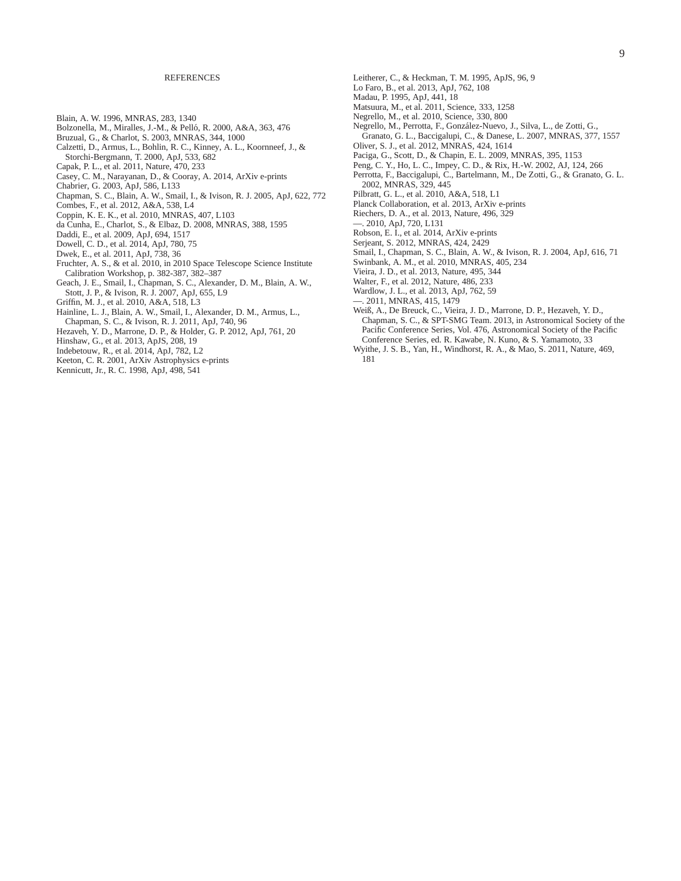#### **REFERENCES**

- <span id="page-8-7"></span>Blain, A. W. 1996, MNRAS, 283, 1340
- <span id="page-8-30"></span>Bolzonella, M., Miralles, J.-M., & Pelló, R. 2000, A&A, 363, 476
- <span id="page-8-31"></span>Bruzual, G., & Charlot, S. 2003, MNRAS, 344, 1000
- <span id="page-8-32"></span>Calzetti, D., Armus, L., Bohlin, R. C., Kinney, A. L., Koornneef, J., & Storchi-Bergmann, T. 2000, ApJ, 533, 682
- <span id="page-8-18"></span>Capak, P. L., et al. 2011, Nature, 470, 233
- <span id="page-8-6"></span>Casey, C. M., Narayanan, D., & Cooray, A. 2014, ArXiv e-prints
- <span id="page-8-5"></span>Chabrier, G. 2003, ApJ, 586, L133
- <span id="page-8-35"></span>Chapman, S. C., Blain, A. W., Smail, I., & Ivison, R. J. 2005, ApJ, 622, 772
- <span id="page-8-20"></span>Combes, F., et al. 2012, A&A, 538, L4
- <span id="page-8-17"></span>Coppin, K. E. K., et al. 2010, MNRAS, 407, L103
- <span id="page-8-26"></span>da Cunha, E., Charlot, S., & Elbaz, D. 2008, MNRAS, 388, 1595
- <span id="page-8-16"></span>Daddi, E., et al. 2009, ApJ, 694, 1517
- <span id="page-8-46"></span>Dowell, C. D., et al. 2014, ApJ, 780, 75
- <span id="page-8-43"></span>Dwek, E., et al. 2011, ApJ, 738, 36
- <span id="page-8-24"></span>Fruchter, A. S., & et al. 2010, in 2010 Space Telescope Science Institute Calibration Workshop, p. 382-387, 382–387
- <span id="page-8-36"></span>Geach, J. E., Smail, I., Chapman, S. C., Alexander, D. M., Blain, A. W., Stott, J. P., & Ivison, R. J. 2007, ApJ, 655, L9
- <span id="page-8-3"></span>Griffin, M. J., et al. 2010, A&A, 518, L3
- <span id="page-8-39"></span>Hainline, L. J., Blain, A. W., Smail, I., Alexander, D. M., Armus, L., Chapman, S. C., & Ivison, R. J. 2011, ApJ, 740, 96
- <span id="page-8-29"></span>Hezaveh, Y. D., Marrone, D. P., & Holder, G. P. 2012, ApJ, 761, 20
- <span id="page-8-21"></span>Hinshaw, G., et al. 2013, ApJS, 208, 19
- <span id="page-8-45"></span>Indebetouw, R., et al. 2014, ApJ, 782, L2
- <span id="page-8-27"></span>Keeton, C. R. 2001, ArXiv Astrophysics e-prints
- <span id="page-8-4"></span>Kennicutt, Jr., R. C. 1998, ApJ, 498, 541
- <span id="page-8-41"></span>Leitherer, C., & Heckman, T. M. 1995, ApJS, 96, 9
- <span id="page-8-40"></span>Lo Faro, B., et al. 2013, ApJ, 762, 108
- <span id="page-8-33"></span>Madau, P. 1995, ApJ, 441, 18
- <span id="page-8-44"></span>Matsuura, M., et al. 2011, Science, 333, 1258
- <span id="page-8-11"></span>Negrello, M., et al. 2010, Science, 330, 800
- <span id="page-8-9"></span>Negrello, M., Perrotta, F., González-Nuevo, J., Silva, L., de Zotti, G.,
- Granato, G. L., Baccigalupi, C., & Danese, L. 2007, MNRAS, 377, 1557 Oliver, S. J., et al. 2012, MNRAS, 424, 1614
- <span id="page-8-10"></span><span id="page-8-2"></span>Paciga, G., Scott, D., & Chapin, E. L. 2009, MNRAS, 395, 1153
- <span id="page-8-25"></span>Peng, C. Y., Ho, L. C., Impey, C. D., & Rix, H.-W. 2002, AJ, 124, 266
- <span id="page-8-8"></span>Perrotta, F., Baccigalupi, C., Bartelmann, M., De Zotti, G., & Granato, G. L. 2002, MNRAS, 329, 445
- <span id="page-8-0"></span>Pilbratt, G. L., et al. 2010, A&A, 518, L1
- <span id="page-8-22"></span>Planck Collaboration, et al. 2013, ArXiv e-prints
- <span id="page-8-1"></span>Riechers, D. A., et al. 2013, Nature, 496, 329
- <span id="page-8-42"></span>—. 2010, ApJ, 720, L131
- <span id="page-8-23"></span>Robson, E. I., et al. 2014, ArXiv e-prints
- Serjeant, S. 2012, MNRAS, 424, 2429
- <span id="page-8-34"></span><span id="page-8-28"></span>Smail, I., Chapman, S. C., Blain, A. W., & Ivison, R. J. 2004, ApJ, 616, 71
- <span id="page-8-37"></span>Swinbank, A. M., et al. 2010, MNRAS, 405, 234
- <span id="page-8-13"></span>Vieira, J. D., et al. 2013, Nature, 495, 344
- <span id="page-8-19"></span>Walter, F., et al. 2012, Nature, 486, 233
- <span id="page-8-12"></span>Wardlow, J. L., et al. 2013, ApJ, 762, 59
- <span id="page-8-38"></span>2011, MNRAS, 415, 1479
- <span id="page-8-14"></span>Weiß, A., De Breuck, C., Vieira, J. D., Marrone, D. P., Hezaveh, Y. D., Chapman, S. C., & SPT-SMG Team. 2013, in Astronomical Society of the Pacific Conference Series, Vol. 476, Astronomical Society of the Pacific Conference Series, ed. R. Kawabe, N. Kuno, & S. Yamamoto, 33
- <span id="page-8-15"></span>Wyithe, J. S. B., Yan, H., Windhorst, R. A., & Mao, S. 2011, Nature, 469, 181